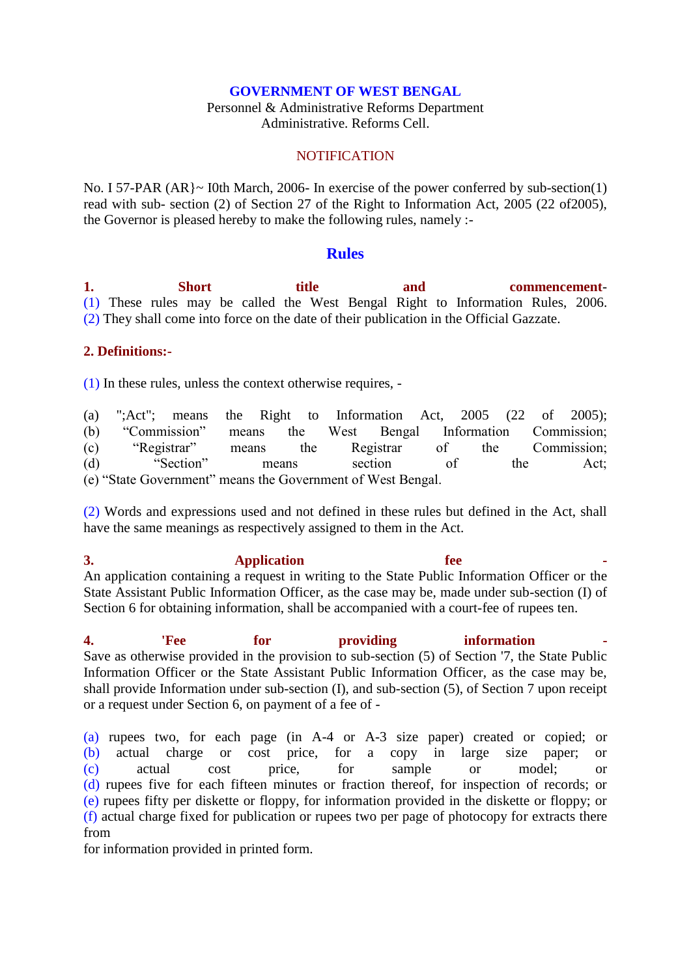## **GOVERNMENT OF WEST BENGAL**

Personnel & Administrative Reforms Department Administrative. Reforms Cell.

## **NOTIFICATION**

No. I 57-PAR (AR}~ I0th March, 2006- In exercise of the power conferred by sub-section(1) read with sub- section (2) of Section 27 of the Right to Information Act, 2005 (22 of2005), the Governor is pleased hereby to make the following rules, namely :-

## **Rules**

**1. Short title and commencement**- (1) These rules may be called the West Bengal Right to Information Rules, 2006. (2) They shall come into force on the date of their publication in the Official Gazzate.

## **2. Definitions:-**

(1) In these rules, unless the context otherwise requires, -

(a) ";Act"; means the Right to Information Act, 2005 (22 of 2005); (b) "Commission" means the West Bengal Information Commission; (c) "Registrar" means the Registrar of the Commission; (d) "Section" means section of the Act; (e) "State Government" means the Government of West Bengal.

(2) Words and expressions used and not defined in these rules but defined in the Act, shall have the same meanings as respectively assigned to them in the Act.

**3.** Application fee An application containing a request in writing to the State Public Information Officer or the State Assistant Public Information Officer, as the case may be, made under sub-section (I) of Section 6 for obtaining information, shall be accompanied with a court-fee of rupees ten.

**4. Providing Figure 1. Providing information** Save as otherwise provided in the provision to sub-section (5) of Section '7, the State Public Information Officer or the State Assistant Public Information Officer, as the case may be, shall provide Information under sub-section (I), and sub-section (5), of Section 7 upon receipt or a request under Section 6, on payment of a fee of -

(a) rupees two, for each page (in A-4 or A-3 size paper) created or copied; or (b) actual charge or cost price, for a copy in large size paper; or (c) actual cost price, for sample or model; or (d) rupees five for each fifteen minutes or fraction thereof, for inspection of records; or (e) rupees fifty per diskette or floppy, for information provided in the diskette or floppy; or (f) actual charge fixed for publication or rupees two per page of photocopy for extracts there from

for information provided in printed form.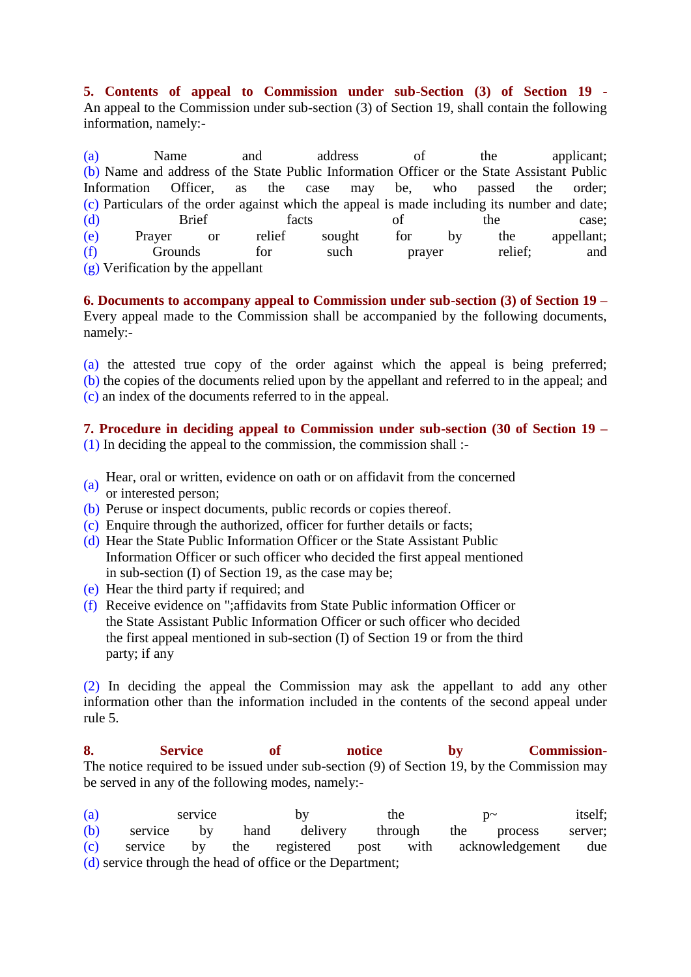**5. Contents of appeal to Commission under sub-Section (3) of Section 19 -** An appeal to the Commission under sub-section (3) of Section 19, shall contain the following information, namely:-

(a) Name and address of the applicant; (b) Name and address of the State Public Information Officer or the State Assistant Public Information Officer, as the case may be, who passed the order; (c) Particulars of the order against which the appeal is made including its number and date; (d) Brief facts of the case; (e) Prayer or relief sought for by the appellant; (f) Grounds for such prayer relief; and (g) Verification by the appellant

**6. Documents to accompany appeal to Commission under sub-section (3) of Section 19 –** Every appeal made to the Commission shall be accompanied by the following documents, namely:-

(a) the attested true copy of the order against which the appeal is being preferred; (b) the copies of the documents relied upon by the appellant and referred to in the appeal; and (c) an index of the documents referred to in the appeal.

**7. Procedure in deciding appeal to Commission under sub-section (30 of Section 19 –** (1) In deciding the appeal to the commission, the commission shall :-

- (a) Hear, oral or written, evidence on oath or on affidavit from the concerned
- or interested person;
- (b) Peruse or inspect documents, public records or copies thereof.
- (c) Enquire through the authorized, officer for further details or facts;
- (d) Hear the State Public Information Officer or the State Assistant Public Information Officer or such officer who decided the first appeal mentioned in sub-section (I) of Section 19, as the case may be;
- (e) Hear the third party if required; and
- (f) Receive evidence on ";affidavits from State Public information Officer or the State Assistant Public Information Officer or such officer who decided the first appeal mentioned in sub-section (I) of Section 19 or from the third party; if any

(2) In deciding the appeal the Commission may ask the appellant to add any other information other than the information included in the contents of the second appeal under rule 5.

**8. Service of notice by Commission-**The notice required to be issued under sub-section (9) of Section 19, by the Commission may be served in any of the following modes, namely:-

(a) service by the p~ itself; (b) service by hand delivery through the process server; (c) service by the registered post with acknowledgement due (d) service through the head of office or the Department;